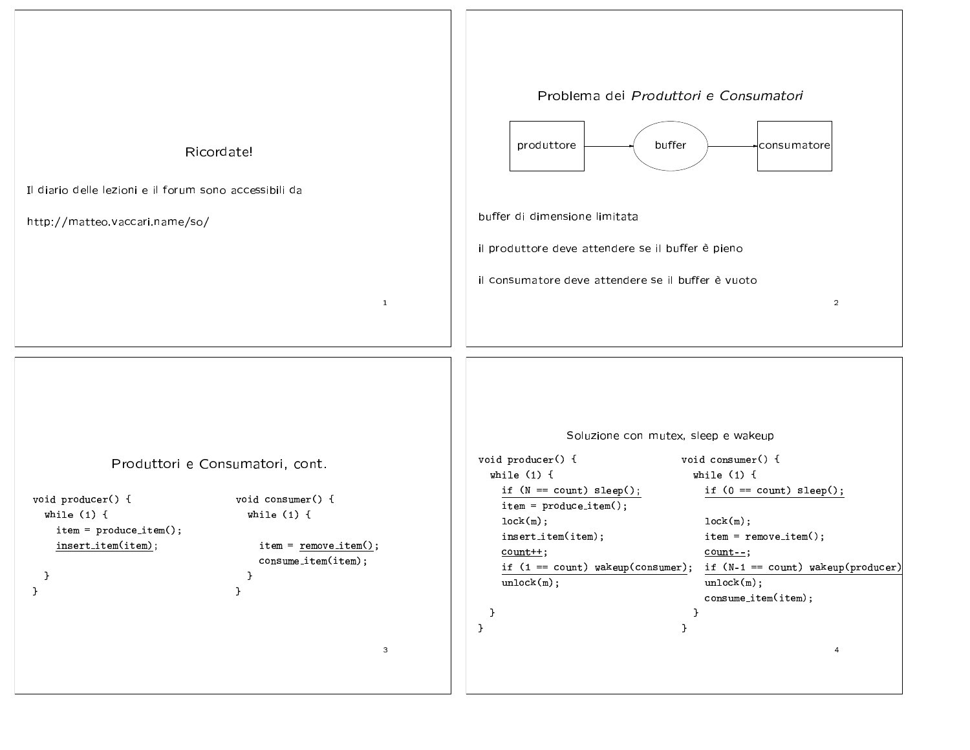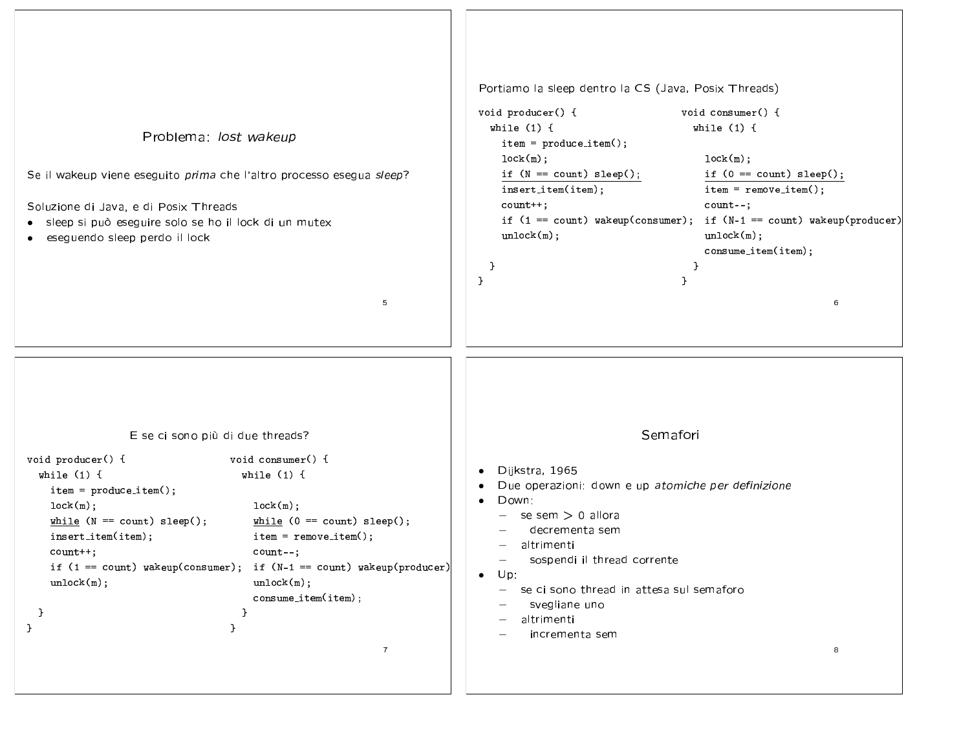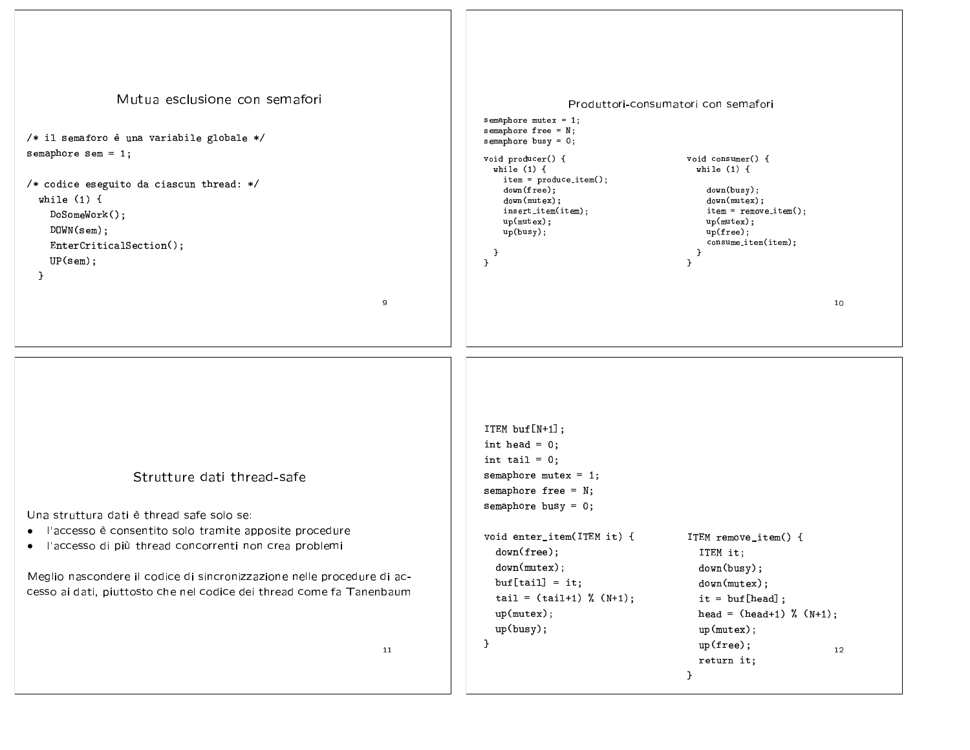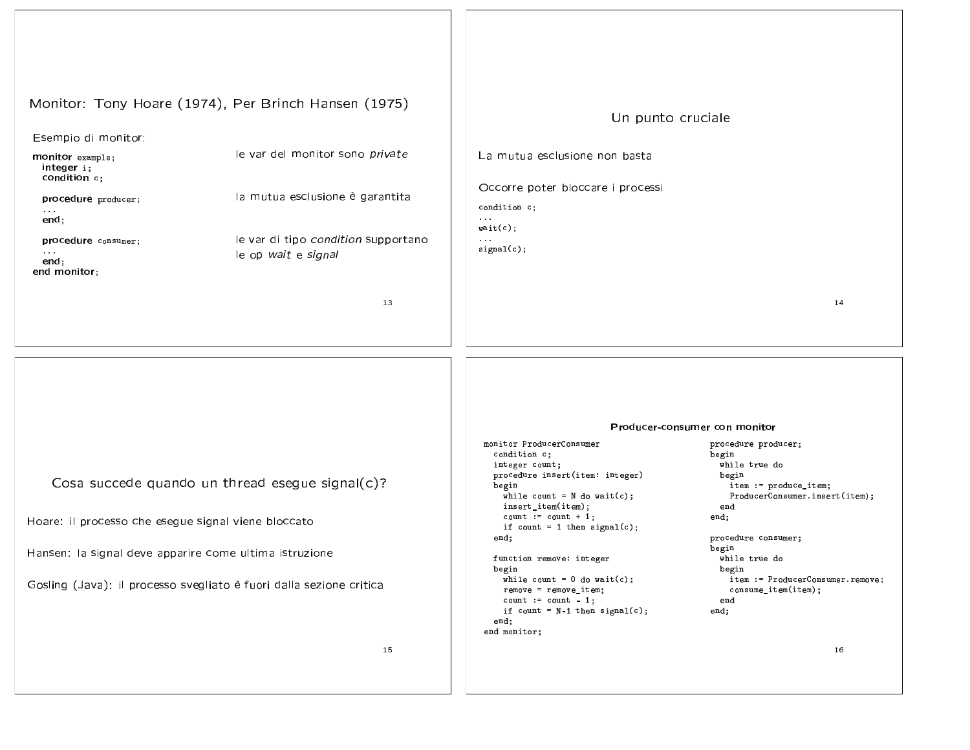Monitor: Tony Hoare (1974), Per Brinch Hansen (1975)

## Esempio di monitor:

monitor example; integer i; condition c;

procedure producer;  $\sim$   $\sim$   $\sim$ 

 $end:$ 

procedure consumer;

 $\sim$   $\sim$   $\sim$  $end;$ end monitor: le var del monitor sono private

la mutua esclusione è garantita

le var di tipo condition supportano le op wait e signal

13

## Un punto cruciale

La mutua esclusione non basta

Occorre poter bloccare i processi

condition c:  $\ldots$ 

 $wait(c)$ :  $\ldots$  .

 $signal(c);$ 

14

Cosa succede quando un thread esegue signal(c)?

Hoare: il processo che esegue signal viene bloccato

Hansen: la signal deve apparire come ultima istruzione

Gosling (Java): il processo svegliato è fuori dalla sezione critica

Producer-consumer con monitor

monitor ProducerConsumer condition c; integer count; procedure insert(item: integer) begin while count =  $N$  do wait(c); insert\_item(item);  $count := count + 1;$ if count =  $1$  then signal(c); end: function remove: integer begin while count =  $0$  do wait(c);  $remove = remove\_item;$  $count := count - 1$ ; if count =  $N-1$  then signal(c);

end: end monitor;

## procedure producer; begin while true do begin item := produce\_item; ProducerConsumer.insert(item);  $end$ end:

procedure consumer; begin while true do begin item := ProducerConsumer.remove; consume\_item(item); end end;

15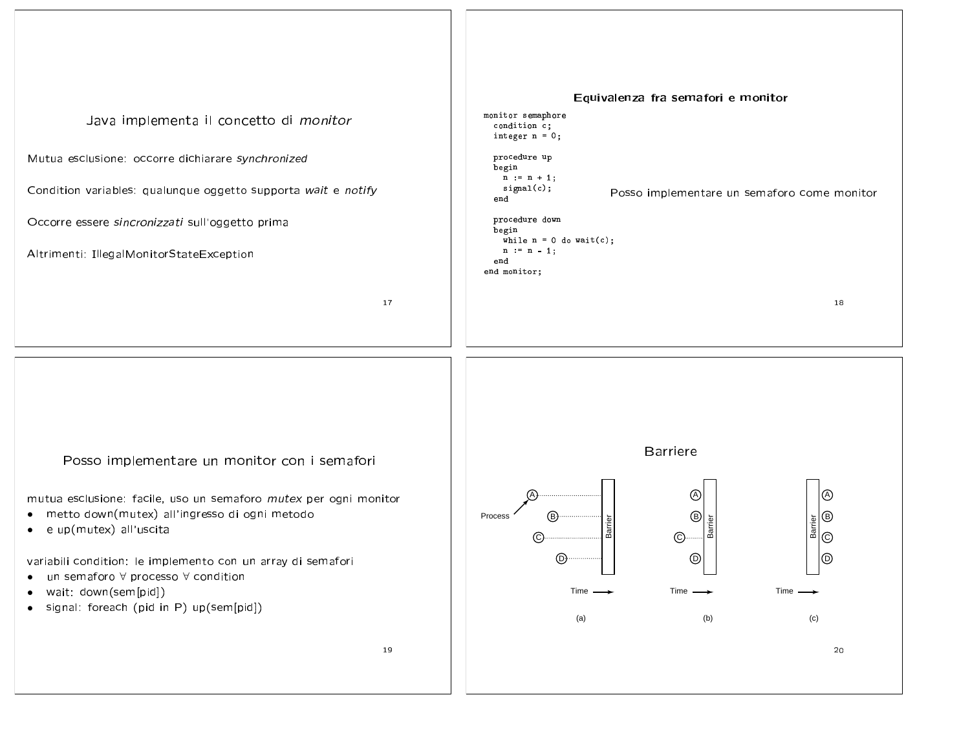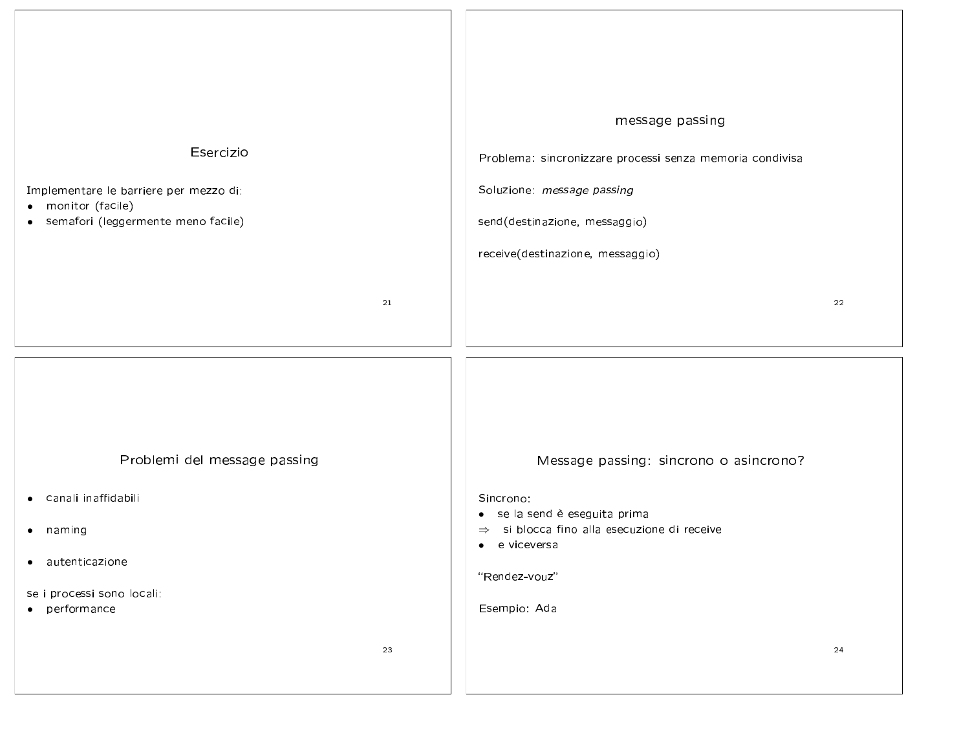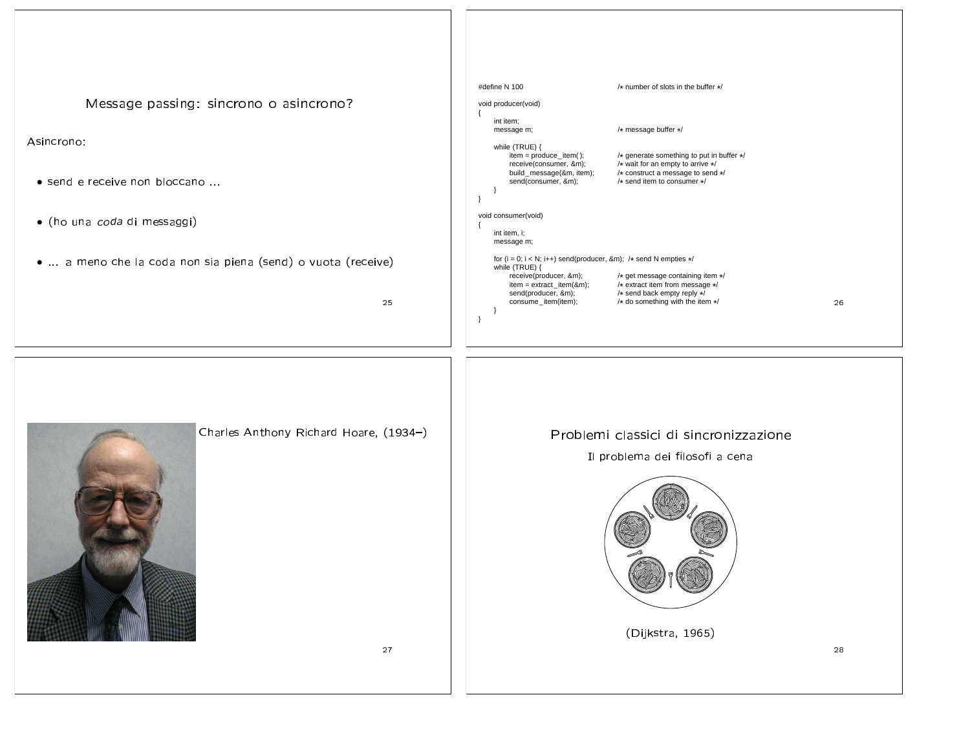998 | 998-998 | 998-998 | 998-998 | 998-998 | 998-998 | 998-998 | 998-998 | 998-998 | 998-998 | 998-998 | 998-

Asincrono:

- send e receive non bloccano ...
- (ho una *coda* di messaggi)
- ... a meno che la coda non sia piena (send) o vuota (receive)

25



| #define N 100                                                                                                                  | /* number of slots in the buffer */                                                                                                                |    |
|--------------------------------------------------------------------------------------------------------------------------------|----------------------------------------------------------------------------------------------------------------------------------------------------|----|
| void producer(void)                                                                                                            |                                                                                                                                                    |    |
| int item;<br>message m;                                                                                                        | /* message buffer */                                                                                                                               |    |
| while (TRUE) {<br>$item = produce_{item}$ );<br>receive(consumer, &m);<br>build message(&m, item);<br>send(consumer, &m);<br>₹ | /* generate something to put in buffer */<br>/* wait for an empty to arrive */<br>/* construct a message to send */<br>/* send item to consumer */ |    |
| void consumer(void)                                                                                                            |                                                                                                                                                    |    |
| int item, i;<br>message m;                                                                                                     |                                                                                                                                                    |    |
| for $(i = 0; i < N; i++)$ send(producer, &m); /* send N empties */<br>while (TRUE) {                                           |                                                                                                                                                    |    |
| receive(producer, &m);<br>$item = extract\_item(8m);$<br>send(producer, &m);<br>consume item(item);                            | /* get message containing item */<br>/* extract item from message */<br>/* send back empty reply */<br>/* do something with the item */            | 26 |

"#\$%-\$99-98-88 $\mathcal{L} = \mathcal{L} = \mathcal{L} = \mathcal{L} = \mathcal{L} = \mathcal{L} = \mathcal{L} = \mathcal{L} = \mathcal{L} = \mathcal{L} = \mathcal{L} = \mathcal{L} = \mathcal{L} = \mathcal{L} = \mathcal{L} = \mathcal{L} = \mathcal{L} = \mathcal{L} = \mathcal{L} = \mathcal{L} = \mathcal{L} = \mathcal{L} = \mathcal{L} = \mathcal{L} = \mathcal{L} = \mathcal{L} = \mathcal{L} = \mathcal{L} = \mathcal{L} = \mathcal{L} = \mathcal{L} = \mathcal$ 



(Dijkstra, 1965)

27

28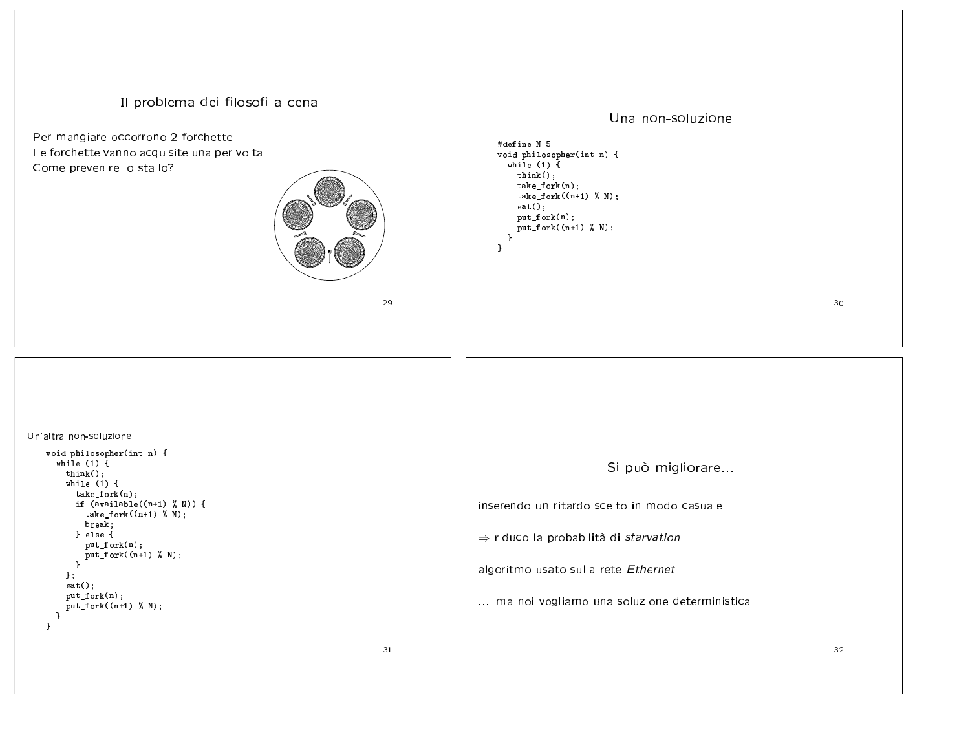## Il problema dei filosofi a cena Una non-soluzione Per mangiare occorrono 2 forchette #define N 5 Le forchette vanno acquisite una per volta void philosopher(int n) { while  $(1)$  { Come prevenire lo stallo?  $think()$ ;  $take_fork(n);$  $take_fork((n+1) % N);$  $ext()$ :  $put\_fork(n);$  $put\_fork((n+1) % N);$  $\mathcal{F}$  $\mathcal{F}$ 29 30 Un'altra non-soluzione: void philosopher(int n) { while  $(1)$  { Si può migliorare...  $\text{think}()$ ; while  $(1)$  {  $take_fork(n);$ if  $(available((n+1) % N))$  { inserendo un ritardo scelto in modo casuale  $take_fork((n+1) % N);$ break: } else {  $\Rightarrow$  riduco la probabilità di starvation put\_fork(n); put\_fork( $(n+1)$  % N);  $\mathbf{F}$ algoritmo usato sulla rete Ethernet  $\cdot$  $ext()$ ; put\_fork(n); ... ma noi vogliamo una soluzione deterministica  $put_fort((n+1) % N);$  $\mathcal{F}$  $\mathbf{F}$ 31 32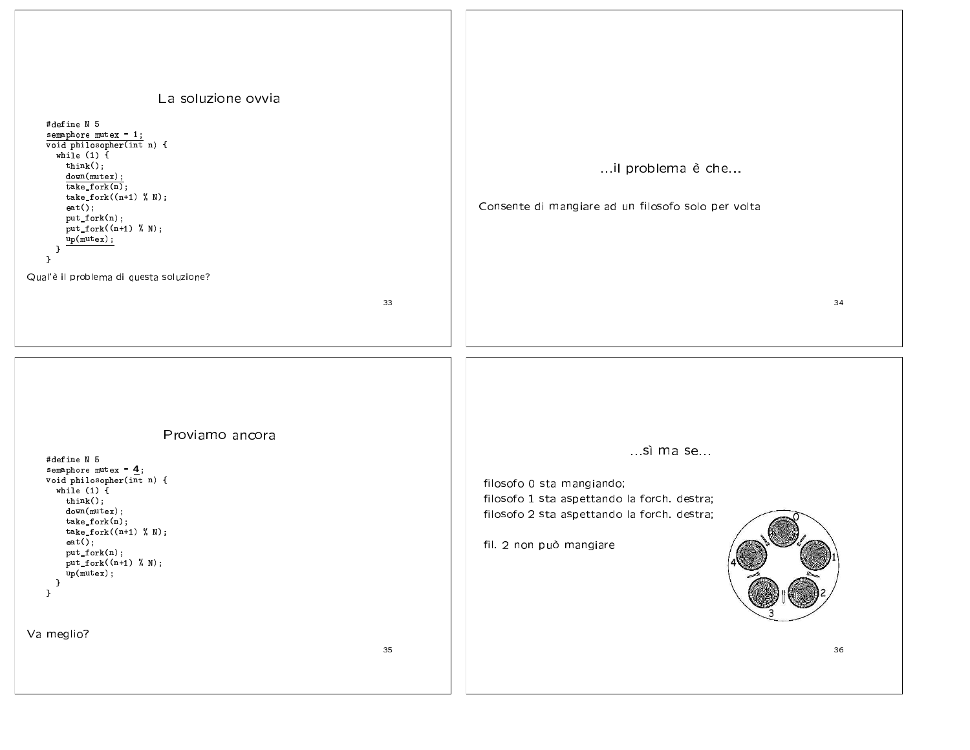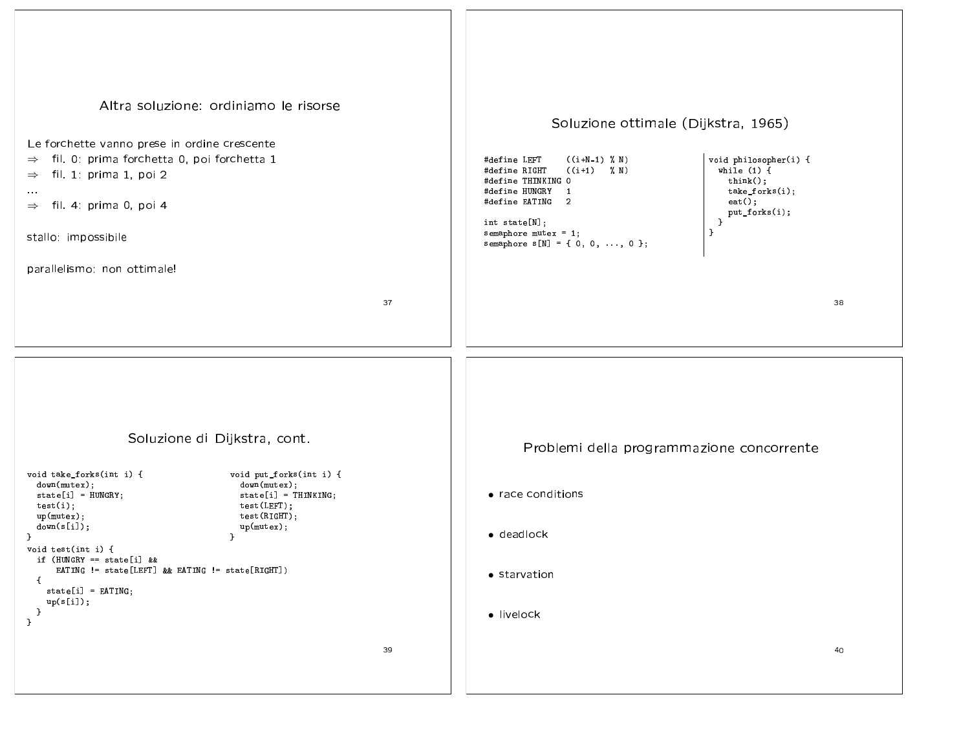| Altra soluzione: ordiniamo le risorse<br>Le forchette vanno prese in ordine crescente<br>fil. 0: prima forchetta 0, poi forchetta 1<br>$\Rightarrow$<br>fil. 1: prima 1, poi 2<br>$\Rightarrow$<br>$\sim 0.0$<br>fil. 4: prima 0, poi 4<br>$\Rightarrow$<br>stallo: impossibile<br>parallelismo: non ottimale!<br>37                                                                                                                                                       | Soluzione ottimale (Dijkstra, 1965)<br>void philosopher(i) {<br>$((i+N-1) % N)$<br>#define LEFT<br>$((i+1) \, %$<br>while $(1)$ {<br>#define RIGHT<br>$think()$ ;<br>#define THINKING O<br>take_forks(i);<br>#define HUNGRY 1<br>#define EATING 2<br>$ext()$ ;<br>put_forks(i);<br>int state[N];<br>$\rightarrow$<br>$\mathcal{F}$<br>semaphore mutex = $1$ ;<br>semaphore $s[N] = \{ 0, 0, , 0 \}$ ;<br>38 |
|----------------------------------------------------------------------------------------------------------------------------------------------------------------------------------------------------------------------------------------------------------------------------------------------------------------------------------------------------------------------------------------------------------------------------------------------------------------------------|-------------------------------------------------------------------------------------------------------------------------------------------------------------------------------------------------------------------------------------------------------------------------------------------------------------------------------------------------------------------------------------------------------------|
| Soluzione di Dijkstra, cont.<br>void take_forks(int i) {<br>void put_forks(int i) {<br>down(mutex);<br>down(mutex);<br>$state[i] = HUNGRY;$<br>$state[i] = THINKING;$<br>test(i);<br>test(LEFT);<br>up(mutex);<br>test(RIGHT);<br>down(s[i]);<br>up(mutes);<br>€.<br>}<br>void test(int i) {<br>if (HUNGRY == state[i] &&<br>EATING != state[LEFT] && EATING != state[RIGHT])<br>$\mathbf{f}$<br>$state[i] = EATING;$<br>up(s[i]);<br>$\mathcal{F}$<br>$\mathcal{F}$<br>39 | Problemi della programmazione concorrente<br>• race conditions<br>• deadlock<br>• starvation<br>· livelock<br>40                                                                                                                                                                                                                                                                                            |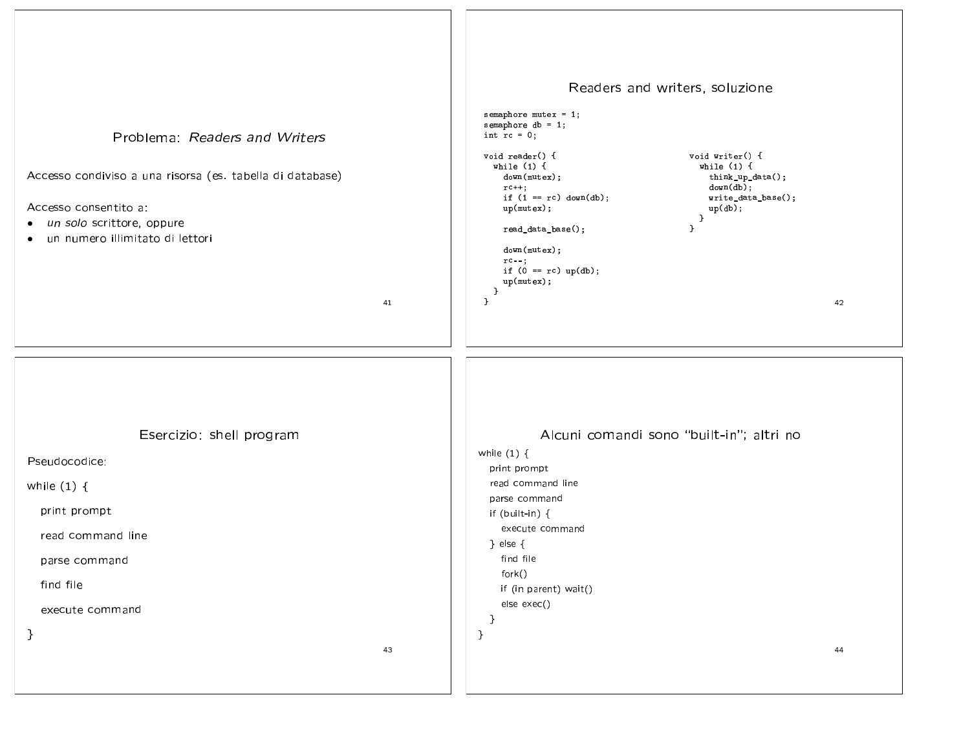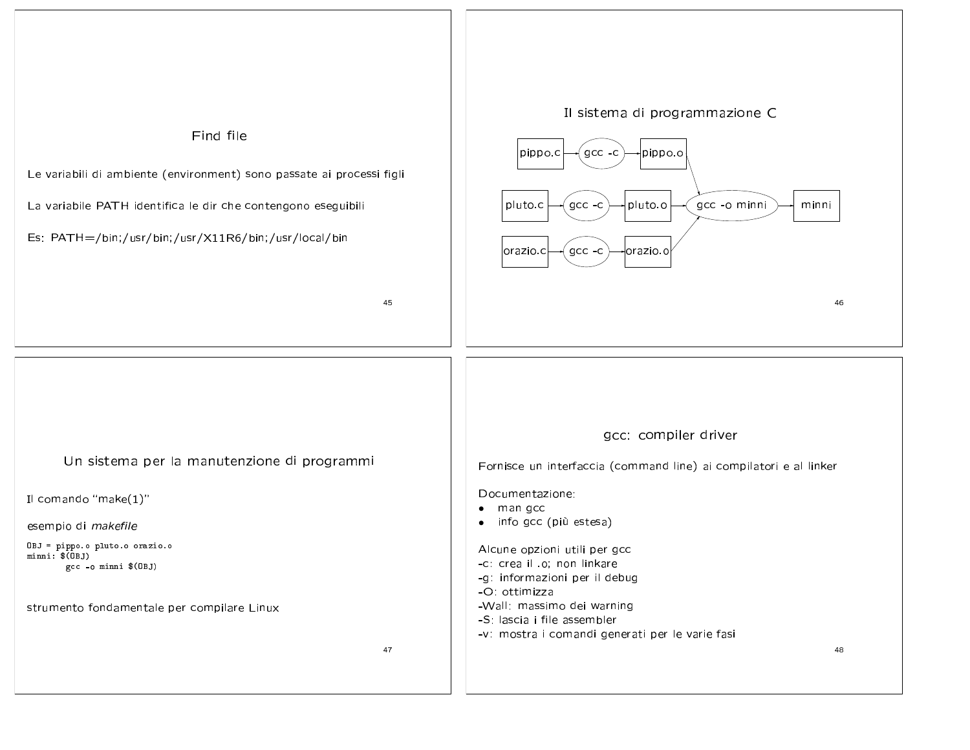